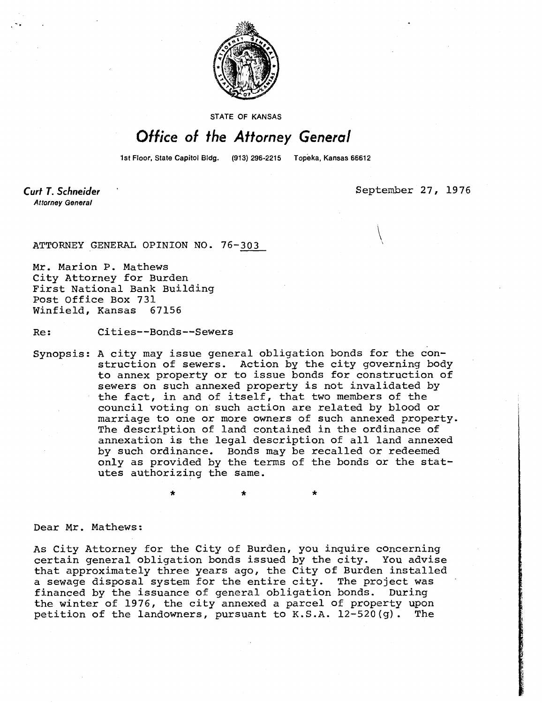

STATE OF KANSAS

## Office of the Attorney General

1st Floor, State Capitol Bldg. (913) 296-2215 Topeka, Kansas 66612

**Curt T. Schneider Attorney General** 

September 27, 1976

ATTORNEY GENERAL OPINION NO. 76-303

Mr. Marion P. Mathews City Attorney for Burden First National Bank Building Post Office Box 731 Winfield, Kansas 67156

Re: Cities--Bonds--Sewers

Synopsis: A city may issue general obligation bonds for the construction of sewers. Action by the city governing body to annex property or to issue bonds for construction of sewers on such annexed property is not invalidated by the fact, in and of itself, that two members of the council voting on such action are related by blood or marriage to one or more owners of such annexed property. The description of land contained in the ordinance of annexation is the legal description of all land annexed by such ordinance. Bonds may be recalled or redeemed only as provided by the terms of the bonds or the statutes authorizing the same.

\*

Dear Mr. Mathews:

As City Attorney for the City of Burden, you inquire concerning certain general obligation bonds issued by the city. You advise that approximately three years ago, the City of Burden installed a sewage disposal system for the entire city. The project was financed by the issuance of general obligation bonds. During the winter of 1976, the city annexed a parcel of property upon petition of the landowners, pursuant to K.S.A. 12-520(g). The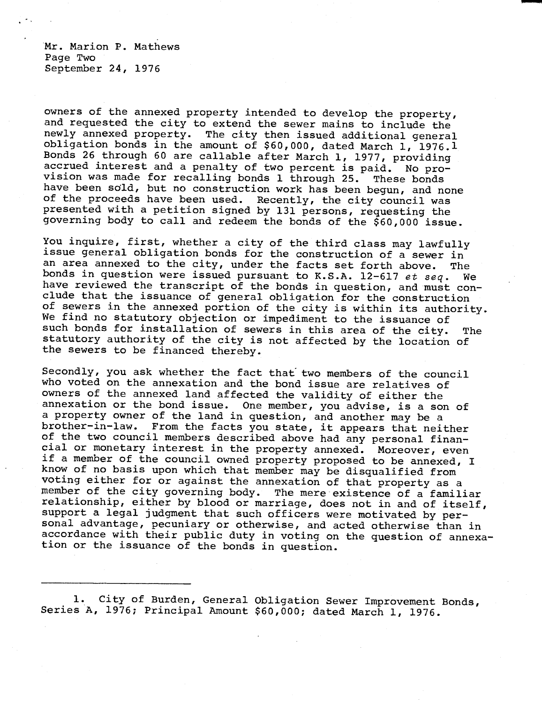Mr. Marion P. Mathews Page Two September 24, 1976

owners of the annexed property intended to develop the property, and requested the city to extend the sewer mains to include the newly annexed property. The city then issued additional general obligation bonds in the amount of \$60,000, dated March 1, 1976.1 Bonds 26 through 60 are callable after March 1, 1977, providing accrued interest and a penalty of two percent is paid. No provision was made for recalling bonds 1 through 25. These bonds have been sold, but no construction work has been begun, and none of the proceeds have been used. Recently, the city council was presented with a petition signed by 131 persons, requesting the governing body to call and redeem the bonds of the \$60,000 issue.

You inquire, first, whether a city of the third class may lawfully issue general obligation bonds for the construction of a sewer in an area annexed to the city, under the facts set forth above. The bonds in question were issued pursuant to K.S.A. 12-617 et seq. We have reviewed the transcript of the bonds in question, and must conclude that the issuance of general obligation for the construction of sewers in the annexed portion of the city is within its authority. We find no statutory objection or impediment to the issuance of such bonds for installation of sewers in this area of the city. The statutory authority of the city is not affected by the location of the sewers to be financed thereby.

Secondly, you ask whether the fact that two members of the council who voted on the annexation and the bond issue are relatives of owners of the annexed land affected the validity of either the annexation or the bond issue. One member, you advise, is a son of a property owner of the land in question, and another may be a brother-in-law. From the facts you state, it appears that neither of the two council members described above had any personal financial or monetary interest in the property annexed. Moreover, even if a member of the council owned property proposed to be annexed, I know of no basis upon which that member may be disqualified from voting either for or against the annexation of that property as a member of the city governing body. The mere existence of a familiar relationship, either by blood or marriage, does not in and of itself, support a legal judgment that such officers were motivated by personal advantage, pecuniary or otherwise, and acted otherwise than in accordance with their public duty in voting on the question of annexation or the issuance of the bonds in question.

1. City of Burden, General Obligation Sewer Improvement Bonds, Series A, 1976; Principal Amount \$60,000; dated March 1, 1976.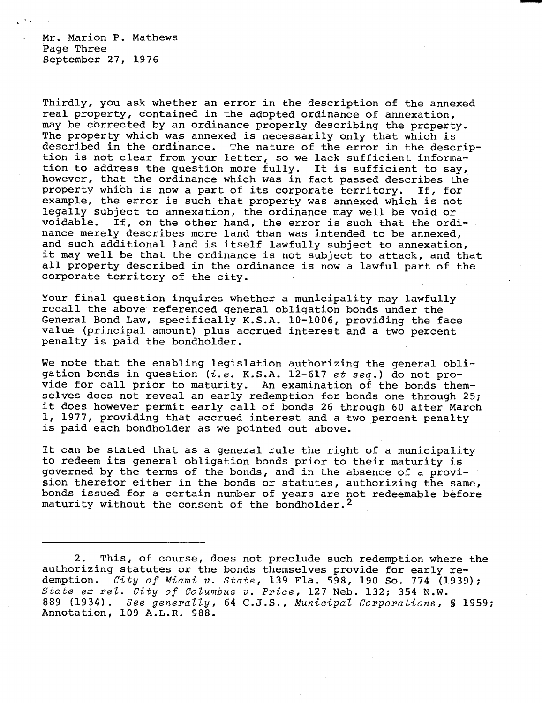Mr. Marion P. Mathews Page Three September 27, 1976

Thirdly, you ask whether an error in the description of the annexed real property, contained in the adopted ordinance of annexation, may be corrected by an ordinance properly describing the property. The property which was annexed is necessarily only that which is described in the ordinance. The nature of the error in the description is not clear from your letter, so we lack sufficient information to address the question more fully. It is sufficient to say, however, that the ordinance which was in fact passed describes the property which is now a part of its corporate territory. If, for example, the error is such that property was annexed which is not legally subject to annexation, the ordinance may well be void or voidable. If, on the other hand, the error is such that the ordinance merely describes more land than was intended to be annexed, and such additional land is itself lawfully subject to annexation, it may well be that the ordinance is not subject to attack, and that all property described in the ordinance is now a lawful part of the corporate territory of the city.

Your final question inquires whether a municipality may lawfully recall the above referenced general obligation bonds under the General Bond Law, specifically K.S.A. 10-1006, providing the face value (principal amount) plus accrued interest and a two percent penalty is paid the bondholder.

We note that the enabling legislation authorizing the general obligation bonds in question ( $i.e.$  K.S.A. 12-617 et seq.) do not provide for call prior to maturity. An examination of the bonds themselves does not reveal an early redemption for bonds one through 25; it does however permit early call of bonds 26 through 60 after March 1, 1977, providing that accrued interest and a two percent penalty is paid each bondholder as we pointed out above.

It can be stated that as a general rule the right of a municipality to redeem its general obligation bonds prior to their maturity is governed by the terms of the bonds, and in the absence of a provision therefor either in the bonds or statutes, authorizing the same, bonds issued for a certain number of years are not redeemable before maturity without the consent of the bondholder.<sup>2</sup>

<sup>2.</sup> This, of course, does not preclude such redemption where the authorizing statutes or the bonds themselves provide for early redemption. City of Miami v. State, 139 Fla. 598, 190 So. 774 (1939); State ex rel. City of Columbus v. Price, 127 Neb. 132; 354 N.W. 889 (1934). See generally, 64 C.J.S., Municipal Corporations, § 1959; Annotation, 109 A.L.R. 988.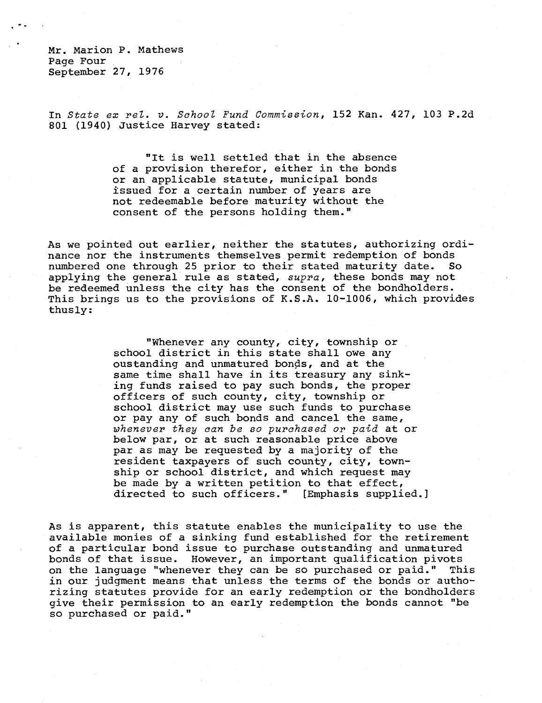Mr. Marion P. Mathews Page Four September 27, 1976

In State ex rel. v. School Fund Commission, 152 Kan. 427, 103 P.2d 801 (1940) Justice Harvey stated:

> "It is well settled that in the absence of a provision therefor, either in the bonds or an applicable statute, municipal bonds issued for a certain number of years are not redeemable before maturity without the consent of the persons holding them."

As we pointed out earlier, neither the statutes, authorizing ordinance nor the instruments themselves permit redemption of bonds numbered one through 25 prior to their stated maturity date. So applying the general rule as stated, supra, these bonds may not be redeemed unless the city has the consent of the bondholders. This brings us to the provisions of K.S.A. 10-1006, which provides thusly:

> "Whenever any county, city, township or school district in this state shall owe any oustanding and unmatured bonds, and at the same time shall have in its treasury any sinking funds raised to pay such bonds, the proper officers of such county, city, township or school district may use such funds to purchase or pay any of such bonds and cancel the same, whenever they can be so purchased or paid at or below par, or at such reasonable price above par as may be requested by a majority of the resident taxpayers of such county, city, township or school district, and which request may be made by a written petition to that effect, directed to such officers." [Emphasis supplied.]

As is apparent, this statute enables the municipality to use the available monies of a sinking fund established for the retirement of a particular bond issue to purchase outstanding and unmatured bonds of that issue. However, an important qualification pivots on the language "whenever they can be so purchased or paid." This in our judgment means that unless the terms of the bonds or authorizing statutes provide for an early redemption or the bondholders give their permission to an early redemption the bonds cannot "be so purchased or paid."